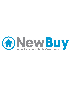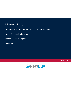#### A Presentation by:

Department of Communities and Local Government

Home Builders Federation

Jardine Lloyd Thompson

Clyde & Co

5th March 2012

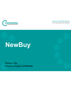

www.communities.gov.uk community, opportunity, prosperity

# **NewBuy**

Teresa Clay Housing Supply & Markets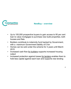

#### **NewBuy – overview**

- • Up to 100,000 prospective buyers to gain access to 95 per cent loan to value mortgages to purchase new build properties, both houses and flats
- • Builders contribute to indemnity fund backed by Government, with <sup>a</sup> maximum Government liability of £1bn
- Homes can be sold under the scheme for 3 years until March 2015
- •Increased cash flow for builders supports increased housing output
- • Increased protection against losses for lenders enables them to hold less capital against each loan and supports new lending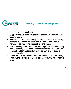

#### **NewBuy - Government perspective**

- •Key part of housing strategy
- • Supports the Government priorities of economic growth and social mobility
- • Helps deliver the core housing strategy objective of improving affordability - delivering more new market and affordable homes - also improving accessibility and choice
- Part of package of reforms designed to get the market moving again, including Get Britain Building for stalled sites, Growing Places Fund for infrastructure development and release of public sector land
- Builds on existing reforms, including National Planning Policy Framework, New Homes Bonus and Community Infrastructure Levy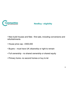

#### **NewBuy - eligibility**

• New build houses and flats - first sale, including conversions and refurbishments

- House price cap £500,000
- Buyers must have UK citizenship or right to remain
- Full ownership no shared ownership or shared equity
- Primary home -no second homes or buy to let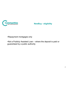

#### **NewBuy - eligibility**

•Repayment mortgages only

•Not a Publicly Assisted Loan – where the deposit is paid or guaranteed by <sup>a</sup> public authority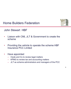



### John Stewart HBF

- • Liaison with CML JLT & Government to create the scheme
- Providing the vehicle to operate the scheme HBF •Providing the vehicle to operate the scheme<br>Insurance PCC Limited
- • Have appointed
	- Clyde and Co to review legal matters
	- KPMG to review tax and accounting matters
	- –JLT as scheme adminstrators and managers of the PCC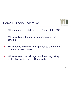### Home Builders Federation



- •Will represent all builders on the Board of the PCC
- • Will co-ordinate the application process for the scheme
- • Will continue to liaise with all parties to ensure the success of the scheme
- • Will seek to recover all legal, audit and regulatory costs of operating the PCC and cells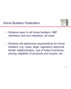



- Scheme open to all home builders: HBF members and non-members, all sizes
- Scheme will determine requirements for home builders: e.g. costs, legal, regulatory approval, lender relationship(s), use of sales incentives, pricing, eligibility of products and buyers, etc.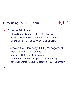### Introducing the JLT Team



- Steve Rance Team Leader JLT London
- Joanna Locke Project Manager JLT London
- Shane O'Neill Group Lawyer JLT London
- • Protected Cell Company (PCC) Management
	- –Nick Wild MD – JLT Guernsey
	- Ian Drillot COO JLT Guernsey
	- Adam Buckholt MI Manager JLT Guernsey
	- Jane Collenette Account Executive JLT Guernsey

 $\blacktriangle$ JLT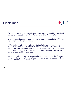



- • This presentation is being made to assist a builder in deciding whether it wishes to participate in the NewBuy Scheme (the "**Scheme**").
- • No representation or warranty, express or implied, is made by JLT as to the contents of this presentation.
- JLT is acting solely as administrator to the Scheme and not as advisor •to any of the participants in the Scheme. Accordingly, JLT accepts no responsibility or liability for any legal, tax or accounting advice in relation to the Scheme or for any advice as to the suitability of the Scheme to any individual builder's business.
- • Any builder who is in any way uncertain about the detail of the Scheme or the suitability of the Scheme to its business should contact the HBF in the first instance for further information.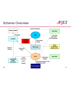### Scheme Overview

# SJLT



SR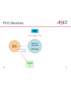### PCC Structure

SR





14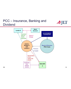### PCC – Insurance, Banking and Dividend

Dividends from interest income



**BUILDERA**

SR THE COMMUNICATION CONTINUES

15

SJLT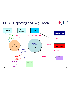### PCC – Reporting and Regulation



16

SJLT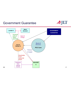### Government Guarantee





17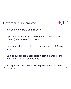### Government Guarantee



- •Is made to the PCC and all Cells
- • Operates when a Cell's assets (other than accrued interest) are depleted by claims
- • Provides further cover to the monetary sum of 5.5% of sales
- • Can be suspended under certain circumstances either at Builder, Cell or Scheme level
- •If suspended then notice will be given to those parties impacted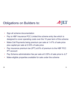### Obligations on Builders to:



- •Sign all scheme documentation
- • Pay to HBF Insurance PCC Limited the scheme entry fee which is designed to cover operating costs over the 10 year term of the scheme
- • Make Cell Payments being premium per sale at 1.47% of sale price plus capital per sale at 2.03% of sale price
- • Pay insurance premium tax (IPT) at 6% of premium to the HBF PCC IPT account
- •Pay Scheme administration fee per sale at 0.35% of sale price to JLT
- •Make eligible properties available for sale under the scheme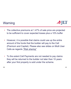### Warning



- • The collective premiums at 1.47% of sale price are projected to be sufficient to cover expected losses plus a 10% buffer
- • However, it is possible that claims could use up the entire amount of the funds that the builder will pay to the Cell (Premium and Capital). Please also see slides on Multi User Cells as regards *"Risk sharing"*
- • To the extent Cell Payments are not needed to pay claims they will be returned to the builder not later than 10 years after your first property is sold under the scheme.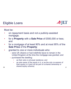### Eligible Loans



Must be:

- • on repayment basis and not a publicly-assisted mortgage;
- • for a **Property** with a **Sale Price** of £500,000 or less; and
- • $\cdot$  for a mortgage of at least 90% and at most 95% of the **Sale Price** of the **Property**;
- • granted to one or more individuals who:
	- were UK citizens or had indefinite leave to remain in the United Kingdom at the time the mortgage was granted; and
	- purchased the dwelling:
		- •as their sole or principal residence; and
- • as sole owner of the equity in it, or as the only co-owners of their equity in it (and not as part of a shared ownership or shared equity scheme)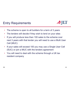### Entry Requirements



- •The scheme is open to all builders for a term of 3 years
- •The lenders will decide if they wish to lend on your sites
- • If you will produce less than 100 sales to the scheme over next 3 years with that lender you will need to use a Multi User Cell (MUC)
- • If your sales will exceed 100 you may use a Single User Cell (SUC) or join a MUC with the lenders agreement
- • You will need to deal with the scheme through a UK tax resident company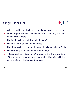### Single User Cell



- •Will be used by one builder in a relationship with one lender
- • Some larger builders will have several SUC so they can deal with several lenders
- •The builder will own all shares in the SUC
- •▪ The shares will be non voting shares<br>▪ The shares will give the builder rights
- The shares will give the builder rights to all assets in the SUC
- •The HBF hold all the voting stock in the PCC
- • If the SUC does not reach 100 sales over the three year term of the scheme it may be tipped into a Multi User Cell with the same lender (mutual consent required)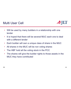

- • Will be used by many builders in a relationship with one lender
- • It is hoped that there will be several MUC each one to deal with a different lender
- •Each builder will own a unique class of share in the MUC
- •All shares in the MUC will be non voting shares
- •The HBF hold all the voting stock in the PCC
- • The shares will give the builder rights to those assets in the MUC they have contributed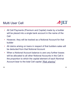

- • All Cell Payments (Premium and Capital) made by a builder will be placed into a single bank account in the name of the Cell
- • However, they will be tracked as a Notional Account for that builder
- • All claims arising on loans in respect of that builders sales will be deducted from that Notional Account
- • When a Notional Account balance is zero any further losses will be allocated to all other Notional Accounts in the Cell in the proportion to which the capital element of each Nominal Account bear to the total Cell capital *"Risk sharing"*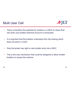

- • There is therefore the potential for builders in a MUC to share their risk when one builders Nominal Account is exhausted
- • It is important that the builders understand this risk sharing which does not exist in a SUC
- •Only the lender has right to veto builder entry into a MUC
- • This is the only mechanism that could be designed to allow smaller builders to access the scheme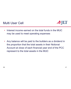

- • Interest income earned on the total funds in the MUC may be used to meet operating expenses
- • Any balance will be paid to the builders as a dividend in the proportion that the total assets in their Notional Account at close of each financial year end of the PCC represent to the total assets in the MUC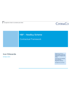### **CLYDE&CO**

#### HBF – NewBuy Scheme

Contractual Framework

#### **Ivor Edwards**

05 March 2012

 Clyde & Co LLP is a limited liability partnership registered in England and Wales.

Authorised and regulated by the Solicitors Regulation Authority.

© Clyde & Co LLP 2011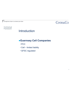**Contractual** Framework

### Introduction

### <sup>z</sup>**Guernsey Cell Companies**

- $\cdot$ PCC
- Cell limited liability
- GFSC regulated

CLYDE&CO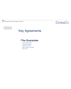### **CLYDE&CO**

#### **Contractual** Framework

### Key Agreements

#### y**The Guarantee**

- Government Guarantee
- 5 5% of the sale prices 5.5%
- Exhaustion of the cell
- Right to suspend or terminate
- Back to back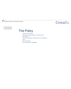### **CLYDE&CO**

#### **Contractual** Framework

### The Policy

- 3 years and 7 year run-off
- Claims paid on eligible properties delinquency costs
- Then Disputed
- Premium and capital into a charged account 3.5% of sale price
- Limits
- 95% of the sale price
- 9% of the sale price in the aggregate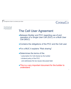#### **Contractual** Framework

### $C$ IYDF& $C$

### The Cell User Agreement

- Between Builder and PCC regarding use of and operation of a Single User Cell (SUC) or a Multi User Cell (MUC)
- $\bullet$  Contains the obligations of the PCC and the Cell user
- For a MUC it explains "Risk sharing"
- Determines the terms of the
	- subscription for Cell shares by the builder
	- dividend policy of the PCC
		- and addresses the tax issues discussed later
- This is a very important document for the builder to understand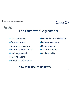### $C$ IYDF& $C$

**Contractual** Framework

### **The Framework Agreement**

- **PCC** operations
- Payment terms
- •Insurance coverage
- **•Insurance Premium Tax**
- Mortgage provision
- $\bullet$ Reconciliations
- Security requirements
- Distribution and Marketing
- Data requirements
- Data protection
- **•Announcements**
- **•Confidentiality**

#### **How does it all fit together?**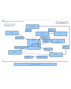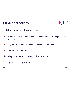### Builder obligations



10 days before each completion

- • Email JLT and the Lender with certain information. A template will be provided
- •Pay the Premium and Capital to the Nominated Account
- •Pay the IPT to the PCC

Monthly in arrears on receipt of an invoice

•Pay the JLT fee plus VAT

NW

35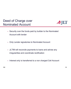### Deed of Charge over Nominated Account



- Security over the funds paid by builder to the Nominated Account with lender
- Only Lender signatories to Nominated Account
- JLTIM will reconcile payments to loans and advise any irregularities and coordinate rectification
- Interest only is transferred to a non charged Cell Account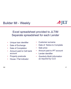### Builder MI - Weekly



### Excel spreadsheet provided to JLTIM Separate spreadsheet for each Lender

- •Unique loan identifier
- •Date of Exchange
- •Date of Completion
- • Amount paid to Cell bank account
- •Property postcode
- •House / Flat indicator
- Customer surname
- Date of Notice to Complete
- Sale price
- Amount paid to IPT account
- Lender identifier
- *Quarterly Build information as required by CLG*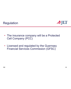



- The insurance company will be a Protected Cell Company (PCC)
- Licensed and regulated by the Guernsey Financial Services Commission (GFSC)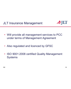JLT Insurance Management

SJLT

- Will provide all management services to PCC under terms of Management Agreement
- •Also regulated and licenced by GFSC
- ISO 9001:2008 certified Quality Management Systems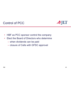



- •HBF as PCC sponsor control the company
- • Elect the Board of Directors who determine
	- when dividends can be paid
	- closure of Cells with GFSC approval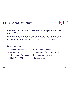### PCC Board Structure



- • Law requires at least one director independent of HBF and JI TIM
- • Director appointments are subject to the approval of the Guernsey Financial Services Commission
- • Board will be
	-
	- Callum Beaton FCII
	- Christopher Anderson Independent (lawyer)
	- Nick Wild FCII

– Stewart Baseley Exec Chairman HBF Independent (Ins professional) Director of JLTIM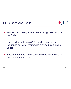### PCC Core and Cells



- The PCC is one legal entity comprising the Core plus the Cells
- Each Builder will use a SUC or MUC issuing an insurance policy for mortgages provided by a single Lender
- Separate records and accounts will be maintained for the Core and each Cell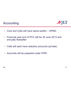### Accounting



- •Core and Cells will have same auditor – KPMG
- • Financial year end of PCC will be 30 June 2013 and annually thereafter
- •Cells will each have statutory accounts (private)
- •Accounts will be prepared under IFRS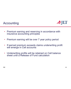### Accounting



- Premium earning and reserving in accordance with insurance accounting principles
- •Premium earning will be over 7 year policy period
- If earned premium exceeds claims underwriting profit •If earned premium exceeds claims underwriting profit<br>will emerge in Cell accounts
- • Underwriting profits will be retained on Cell balance sheet until a Release of Fund calculation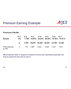### Premium Earning Example



#### **Premiums £100,000**

| Earned                                                       | 0% | Yr 1 Yr 2 Yr 3 Yr 4 Yr 5 Yr 6 Yr 7         |  |  | 7.70% 18.87% 24.23% 20.25% 14.76% 14.19 % |
|--------------------------------------------------------------|----|--------------------------------------------|--|--|-------------------------------------------|
|                                                              |    | 0 7,704 18,870 24,229 20,247 14,758 14,192 |  |  |                                           |
| Profit assumed 0 770 1,887 2,423 2,025 1,475 1,419<br>at 10% |    |                                            |  |  |                                           |

NB Dividends other in respect of interest income less operating expenses can only be paid from the end of year 8

NW

45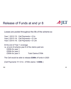### Release of Funds at end yr 8

SJLT

Losses are pooled throughout the life of the scheme so

Year 1 2012 /13: Cell Payments = £1m Year 2 2013 /14: Cell Payments = £1.5m Year 3 2014 /15: Cell Payments = £1.2m

At the end of Year 1 coverage i.e. at end of scheme year 8 of the claims paid are £200k for year 1 £200k for year 2 £300k for year 3 Total Claims £700k

The Cell would be able to release **£300k** of funds in 2020

(Cell Payments Yr1 £1m - £700k claims = **£300k** )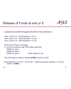### Release of Funds at end yr 9



Losses are pooled throughout the life of the scheme so

Year 1 2012 /13: Cell Payments = £1m Year 2 2013 /14: Cell Payments = £1.5m Year 3 2014 /15: Cell Payments = £1.2m

At the end of Year 2 coverage i.e. at end of scheme year 9 the claims paid are £600k for year 1 £500k for year 2 £400k for year 3 Total Claims £1.5m

The Cell would be able to release **£700k** of funds in 2021

(Cell Payment Yr1 £1m + Yr2 £1.5m – £300k previously released - £1.5m of claims = **£700k** )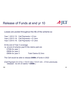### Release of Funds at end yr 10



Losses are pooled throughout the life of the scheme so

Year 1 2012 /13: Cell Payments = £1mn Year 2 2013 /14: Cell Payments = £1.5mn Year 3 2014 /15: Cell Payments = £1.2mn

At the end of Year 3 coverage i.e. at end of scheme year10 the claims paid are £700k for year 1 £800k for year 2 £800k for year 3 Total Claims £2.3mn

The Cell would be able to release **£400k** of funds in 2022

(Cell Payment Yr1 £1m + Yr2 £1.5m+ Yr3 £1.2m – £1mn previously released - £2.3m of claims = **£400k** )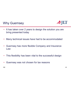### Why Guernsey



- • It has taken over 2 years to design the solution you are bring presented today
- •Many technical issues have had to be accommodated
- • Guernsey has more flexible Company and Insurance Law
- •This flexibility has been vital to the successful design
- •Guernsey was not chosen for tax reasons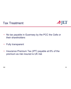



- • No tax payable in Guernsey by the PCC the Cells or their shareholders
- •• Fully transparent
- • Insurance Premium Tax (IPT) payable at 6% of the premium as risk insured is UK risk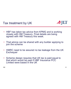### Tax treatment by UK



- • HBF has taken tax advice from KPMG and is working closely with HM Treasury. Final details are being agreed with HM Treasury this week.
- • That advice can be shared with any builder applying to join the scheme
- • HMRC need to be assured no tax leakage from the UK **Exchequer**
- • Scheme design requires that UK tax is paid equal to that which would be paid if HBF Insurance PCC Limited were based in the UK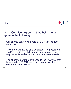

In the Cell User Agreement the builder must agree to the following:

- • Cell shares can only be held by a UK tax resident company
- • Dividends SHALL be paid whenever it is possible for the PCC to do so, whilst complying with solvency requirements and only from unencumbered assets
- • The shareholder must evidence to the PCC that they have made a S931R election to pay tax on the dividends from the Cell

NW

Tax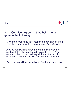

In the Cell User Agreement the builder must agree to the following:

- • Dividends exceeding interest income can only be paid from the end of year 8 *See Release of Funds slide* 8.
- • A calculation will be made before the dividends are paid such that the tax that will be paid in the UK on receipt of the dividend will equal the tax that would have been paid had the PCC been UK tax resident
- •Calculations will be made by professional tax advisors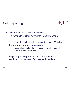### Cell Reporting



- • For each Cell JLTIM will undertake:
	- To reconcile Builder payments to bank account
	- To reconcile Builder sale completions with Monthly Lender management information
		- to ensure that the Lender has security over the correct amounts of funds at all times
	- Reporting of irregularities and coordination of rectifications between Builders and Lenders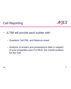



- JLTIM will provide each builder with:
	- Quarterly Cell P&L and Balance sheet
	- Analysis of arrears and possessions data in respect of your properties plus if in MUC the overall position for the Cell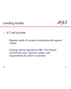

### Lending Audits

- JLT will provide:
	- Regular audits of Lenders compliance with agreed criteria
	- Findings will be reported to HBF, PCC Board, Government and relevant Lender, with requirements for action or sanction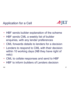Application for a Cell



- •HBF sends builder explanation of the scheme
- • HBF sends CML a weekly list of builder enquiries, with any lender preferences
- •• CML forwards details to lenders for a decision
- • Lenders to respond to CML with their decision within 10 working days (NB they have right of veto)
- •CML to collate responses and send to HBF
- •HBF to inform builders of Lenders decision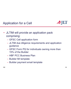### Application for a Cell



- JLTIM will provide an application pack comprising:
	- GFSC Cell application form
	- JLTIM due diligence requirements and application guidance
	- GFSC Form PQ for individuals owning more than 15% of the Builder
	- HBF PCC Business Plan
	- Builder MI template
	- Builder payment email template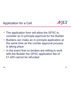Application for a Cell



- The application form will allow the GFSC to consider an in principle approval for the Builder
- Builders can make an in principle application at the same time as the Lender approval process is taking place
- In the event that no lenders are willing to work with the Builder the GFSC application fee of £1,420 cannot be refunded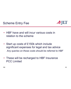



- HBF have and will incur various costs in relation to the scheme
- Start up costs of £150k which include significant expenses for legal and tax advice *Any queries on these costs should be referred to HBF*
- • These will be recharged to HBF Insurance PCC Limited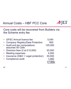### Annual Costs – HBF PCC Core



### Core costs will be recovered from Builders via the Scheme entry fee

|           | • GFSC Annual licence fee                        | 5,040   |
|-----------|--------------------------------------------------|---------|
| $\bullet$ | <b>Company Registry/Data Protection</b>          | 800     |
|           | • Audit and tax computations<br>assumes 50 Cells | 125,000 |
|           | • Directors fees (2 at £10,000)                  | 20,000  |
|           | <b>Meeting expenses</b>                          | 4,000   |
| $\bullet$ | Insurance (D&O + Legal protection)               | 30,000  |
|           | • Compliance audit                               | 1,000   |
|           |                                                  | £186k   |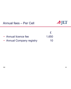### Annual fees – Per Cell



| • Annual licence fee                                                                                                    | 1,650 |
|-------------------------------------------------------------------------------------------------------------------------|-------|
| $\mathbf{A}$ and $\mathbf{A}$ and $\mathbf{A}$ are the set of $\mathbf{A}$ and $\mathbf{A}$ are the set of $\mathbf{A}$ |       |

•Annual Company registry 10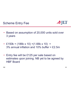



- Based on assumption of 20,000 units sold over 3 years
- £150k + (186k x 10) +(1.66k x 10) + 3% annual inflation and 10% buffer = £2.5m
- Entry fee will be £125 per sale based on estimates upon joining. NB yet to be agreed by HBF Board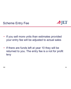



- • If you sell more units than estimates provided your entry fee will be adjusted to actual sales
- • If there are funds left at year 10 they will be returned to you. The entry fee is a not for profit levy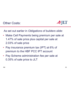Other Costs:



As set out earlier in *Obligations of builders slide*:

- • Make Cell Payments being premium per sale at 1.47% of sale price plus capital per sale at 2.03% of sale price
- • Pay insurance premium tax (IPT) at 6% of premium to the HBF PCC IPT account
- • Pay Scheme administration fee per sale at 0.35% of sale price to JLT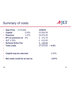### Summary of costs:



|           | Sale Price £175,000            | <b>COSTS</b>        |
|-----------|--------------------------------|---------------------|
|           | 2.03%<br><b>Capital</b>        | £3.552.50           |
|           | $1.47\%$<br><b>Premium</b>     | £2,572.50           |
| $\bullet$ | 6%<br><b>IPT on premium at</b> | £ 213.15            |
|           | $JLT$ 0.35%                    | £ 612.50            |
| $\bullet$ | <b>Scheme Entry Fee</b>        | £ 125.00            |
|           | <b>Total costs</b>             | £7,075.65 = $4.0\%$ |
|           |                                |                     |
|           |                                |                     |
|           | Capital may be returned        | 2.03%               |
|           |                                |                     |
|           | Net costs could be as low as   | 2.01%               |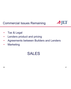Commercial Issues Remaining

- •Tax & Legal
- •Lenders product and pricing
- •Agreements between Builders and Lenders
- •Marketing

## SALES

SJLT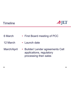### **Timeline**



- First Board meeting of PCC 6 March
- Launch date 12 March
- Builder/ Lender agreements Cell applications, regulatory processing then sales March/April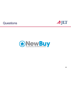### **Questions**